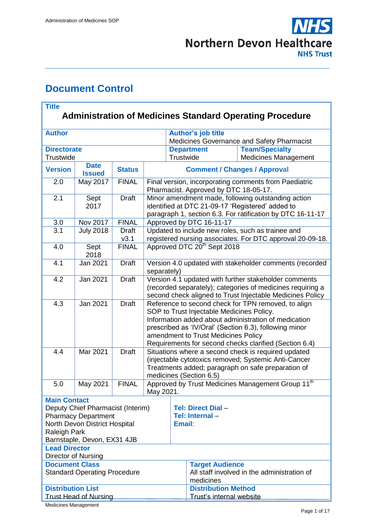

# **Document Control**

| <b>Title</b><br><b>Administration of Medicines Standard Operating Procedure</b>                                                                        |                              |                      |                                                                                                                                                                                                                                                                                                                     |                                            |                                                        |                                                      |  |  |
|--------------------------------------------------------------------------------------------------------------------------------------------------------|------------------------------|----------------------|---------------------------------------------------------------------------------------------------------------------------------------------------------------------------------------------------------------------------------------------------------------------------------------------------------------------|--------------------------------------------|--------------------------------------------------------|------------------------------------------------------|--|--|
| <b>Author</b>                                                                                                                                          |                              |                      |                                                                                                                                                                                                                                                                                                                     | <b>Author's job title</b>                  |                                                        |                                                      |  |  |
|                                                                                                                                                        |                              |                      |                                                                                                                                                                                                                                                                                                                     | Medicines Governance and Safety Pharmacist |                                                        |                                                      |  |  |
| <b>Directorate</b><br>Trustwide                                                                                                                        |                              |                      |                                                                                                                                                                                                                                                                                                                     | Trustwide                                  | <b>Department</b>                                      | <b>Team/Specialty</b><br><b>Medicines Management</b> |  |  |
| <b>Version</b>                                                                                                                                         | <b>Date</b><br><b>Issued</b> | <b>Status</b>        | <b>Comment / Changes / Approval</b>                                                                                                                                                                                                                                                                                 |                                            |                                                        |                                                      |  |  |
| 2.0                                                                                                                                                    | May 2017                     | <b>FINAL</b>         | Final version, incorporating comments from Paediatric<br>Pharmacist. Approved by DTC 18-05-17.                                                                                                                                                                                                                      |                                            |                                                        |                                                      |  |  |
| 2.1                                                                                                                                                    | Sept<br>2017                 | <b>Draft</b>         | Minor amendment made, following outstanding action<br>identified at DTC 21-09-17 'Registered' added to<br>paragraph 1, section 6.3. For ratification by DTC 16-11-17                                                                                                                                                |                                            |                                                        |                                                      |  |  |
| 3.0                                                                                                                                                    | Nov 2017                     | <b>FINAL</b>         | Approved by DTC 16-11-17                                                                                                                                                                                                                                                                                            |                                            |                                                        |                                                      |  |  |
| 3.1                                                                                                                                                    | <b>July 2018</b>             | <b>Draft</b><br>v3.1 | Updated to include new roles, such as trainee and<br>registered nursing associates. For DTC approval 20-09-18.                                                                                                                                                                                                      |                                            |                                                        |                                                      |  |  |
| 4.0                                                                                                                                                    | Sept<br>2018                 | <b>FINAL</b>         | Approved DTC 20 <sup>th</sup> Sept 2018                                                                                                                                                                                                                                                                             |                                            |                                                        |                                                      |  |  |
| 4.1                                                                                                                                                    | Jan 2021                     | <b>Draft</b>         | Version 4.0 updated with stakeholder comments (recorded<br>separately)                                                                                                                                                                                                                                              |                                            |                                                        |                                                      |  |  |
| 4.2                                                                                                                                                    | Jan 2021                     | <b>Draft</b>         | Version 4.1 updated with further stakeholder comments<br>(recorded separately); categories of medicines requiring a<br>second check aligned to Trust Injectable Medicines Policy                                                                                                                                    |                                            |                                                        |                                                      |  |  |
| 4.3                                                                                                                                                    | Jan 2021                     | <b>Draft</b>         | Reference to second check for TPN removed, to align<br>SOP to Trust Injectable Medicines Policy.<br>Information added about administration of medication<br>prescribed as 'IV/Oral' (Section 6.3), following minor<br>amendment to Trust Medicines Policy<br>Requirements for second checks clarified (Section 6.4) |                                            |                                                        |                                                      |  |  |
| 4.4                                                                                                                                                    | Mar 2021                     | <b>Draft</b>         | Situations where a second check is required updated<br>(injectable cytotoxics removed; Systemic Anti-Cancer<br>Treatments added; paragraph on safe preparation of<br>medicines (Section 6.5)                                                                                                                        |                                            |                                                        |                                                      |  |  |
| 5.0                                                                                                                                                    | May 2021                     | <b>FINAL</b>         | Approved by Trust Medicines Management Group 11 <sup>th</sup><br>May 2021.                                                                                                                                                                                                                                          |                                            |                                                        |                                                      |  |  |
| <b>Main Contact</b>                                                                                                                                    |                              |                      |                                                                                                                                                                                                                                                                                                                     |                                            |                                                        |                                                      |  |  |
| Deputy Chief Pharmacist (Interim)<br><b>Pharmacy Department</b><br>North Devon District Hospital<br><b>Raleigh Park</b><br>Barnstaple, Devon, EX31 4JB |                              |                      |                                                                                                                                                                                                                                                                                                                     |                                            | Tel: Direct Dial -<br>Tel: Internal -<br><b>Email</b>  |                                                      |  |  |
| <b>Lead Director</b><br>Director of Nursing                                                                                                            |                              |                      |                                                                                                                                                                                                                                                                                                                     |                                            |                                                        |                                                      |  |  |
| <b>Document Class</b><br><b>Standard Operating Procedure</b>                                                                                           |                              |                      |                                                                                                                                                                                                                                                                                                                     |                                            | <b>Target Audience</b><br>medicines                    | All staff involved in the administration of          |  |  |
| <b>Distribution List</b><br><b>Trust Head of Nursing</b>                                                                                               |                              |                      |                                                                                                                                                                                                                                                                                                                     |                                            | <b>Distribution Method</b><br>Trust's internal website |                                                      |  |  |

Medicines Management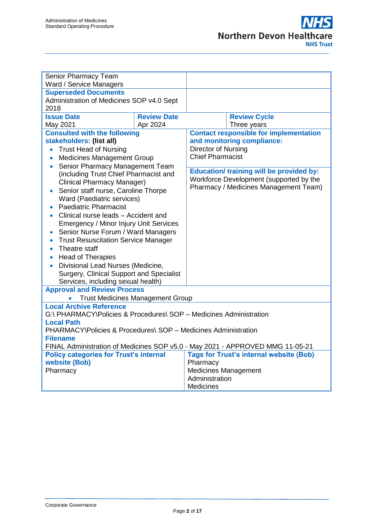| Senior Pharmacy Team                                                          |                    |                                                 |  |  |  |  |  |
|-------------------------------------------------------------------------------|--------------------|-------------------------------------------------|--|--|--|--|--|
| Ward / Service Managers                                                       |                    |                                                 |  |  |  |  |  |
| <b>Superseded Documents</b>                                                   |                    |                                                 |  |  |  |  |  |
| Administration of Medicines SOP v4.0 Sept                                     |                    |                                                 |  |  |  |  |  |
| 2018                                                                          |                    |                                                 |  |  |  |  |  |
| <b>Issue Date</b>                                                             | <b>Review Date</b> | <b>Review Cycle</b>                             |  |  |  |  |  |
| May 2021                                                                      | Apr 2024           | Three years                                     |  |  |  |  |  |
| <b>Consulted with the following</b>                                           |                    | <b>Contact responsible for implementation</b>   |  |  |  |  |  |
| stakeholders: (list all)                                                      |                    | and monitoring compliance:                      |  |  |  |  |  |
| <b>Trust Head of Nursing</b><br>$\bullet$                                     |                    | Director of Nursing                             |  |  |  |  |  |
| <b>Medicines Management Group</b><br>$\bullet$                                |                    | <b>Chief Pharmacist</b>                         |  |  |  |  |  |
| Senior Pharmacy Management Team<br>$\bullet$                                  |                    | <b>Education/ training will be provided by:</b> |  |  |  |  |  |
| (including Trust Chief Pharmacist and                                         |                    | Workforce Development (supported by the         |  |  |  |  |  |
| <b>Clinical Pharmacy Manager)</b>                                             |                    | Pharmacy / Medicines Management Team)           |  |  |  |  |  |
| Senior staff nurse, Caroline Thorpe                                           |                    |                                                 |  |  |  |  |  |
| Ward (Paediatric services)<br><b>Paediatric Pharmacist</b>                    |                    |                                                 |  |  |  |  |  |
| Clinical nurse leads - Accident and                                           |                    |                                                 |  |  |  |  |  |
| <b>Emergency / Minor Injury Unit Services</b>                                 |                    |                                                 |  |  |  |  |  |
| Senior Nurse Forum / Ward Managers                                            |                    |                                                 |  |  |  |  |  |
| <b>Trust Resuscitation Service Manager</b>                                    |                    |                                                 |  |  |  |  |  |
| Theatre staff<br>$\bullet$                                                    |                    |                                                 |  |  |  |  |  |
| <b>Head of Therapies</b><br>$\bullet$                                         |                    |                                                 |  |  |  |  |  |
| Divisional Lead Nurses (Medicine,                                             |                    |                                                 |  |  |  |  |  |
| Surgery, Clinical Support and Specialist                                      |                    |                                                 |  |  |  |  |  |
| Services, including sexual health)                                            |                    |                                                 |  |  |  |  |  |
| <b>Approval and Review Process</b>                                            |                    |                                                 |  |  |  |  |  |
| $\bullet$                                                                     |                    |                                                 |  |  |  |  |  |
| <b>Trust Medicines Management Group</b><br><b>Local Archive Reference</b>     |                    |                                                 |  |  |  |  |  |
| G:\ PHARMACY\Policies & Procedures\ SOP - Medicines Administration            |                    |                                                 |  |  |  |  |  |
| <b>Local Path</b>                                                             |                    |                                                 |  |  |  |  |  |
| PHARMACY\Policies & Procedures\ SOP - Medicines Administration                |                    |                                                 |  |  |  |  |  |
| <b>Filename</b>                                                               |                    |                                                 |  |  |  |  |  |
| FINAL Administration of Medicines SOP v5.0 - May 2021 - APPROVED MMG 11-05-21 |                    |                                                 |  |  |  |  |  |
| <b>Policy categories for Trust's internal</b>                                 |                    | <b>Tags for Trust's internal website (Bob)</b>  |  |  |  |  |  |
| website (Bob)                                                                 |                    | Pharmacy                                        |  |  |  |  |  |
| Pharmacy                                                                      |                    | <b>Medicines Management</b>                     |  |  |  |  |  |
|                                                                               |                    | Administration                                  |  |  |  |  |  |
|                                                                               |                    | <b>Medicines</b>                                |  |  |  |  |  |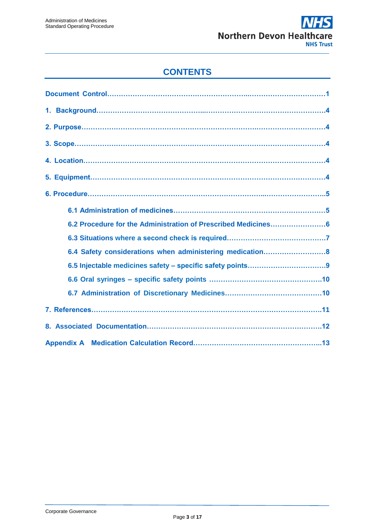### **CONTENTS**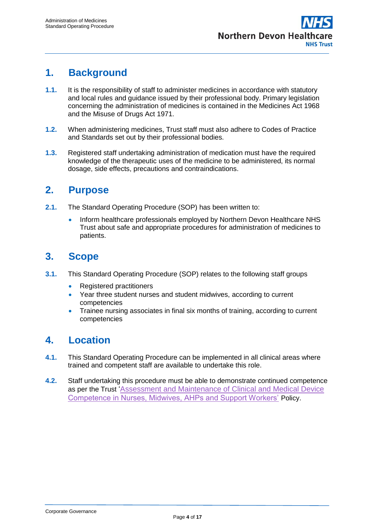## **1. Background**

- **1.1.** It is the responsibility of staff to administer medicines in accordance with statutory and local rules and guidance issued by their professional body. Primary legislation concerning the administration of medicines is contained in the Medicines Act 1968 and the Misuse of Drugs Act 1971.
- **1.2.** When administering medicines, Trust staff must also adhere to Codes of Practice and Standards set out by their professional bodies.
- **1.3.** Registered staff undertaking administration of medication must have the required knowledge of the therapeutic uses of the medicine to be administered, its normal dosage, side effects, precautions and contraindications.

### **2. Purpose**

- **2.1.** The Standard Operating Procedure (SOP) has been written to:
	- Inform healthcare professionals employed by Northern Devon Healthcare NHS Trust about safe and appropriate procedures for administration of medicines to patients.

## **3. Scope**

- **3.1.** This Standard Operating Procedure (SOP) relates to the following staff groups
	- Registered practitioners
	- Year three student nurses and student midwives, according to current competencies
	- Trainee nursing associates in final six months of training, according to current competencies

## **4. Location**

- **4.1.** This Standard Operating Procedure can be implemented in all clinical areas where trained and competent staff are available to undertake this role.
- **4.2.** Staff undertaking this procedure must be able to demonstrate continued competence as per the Trust ['Assessment and Maintenance of Clinical and Medical Device](https://ndht.ndevon.swest.nhs.uk/assessment-and-maintenance-of-clinical-competence-in-nurses-midwives-and-support-workers-policy/)  [Competence in Nurses, Midwives, AHPs and Support Workers'](https://ndht.ndevon.swest.nhs.uk/assessment-and-maintenance-of-clinical-competence-in-nurses-midwives-and-support-workers-policy/) Policy.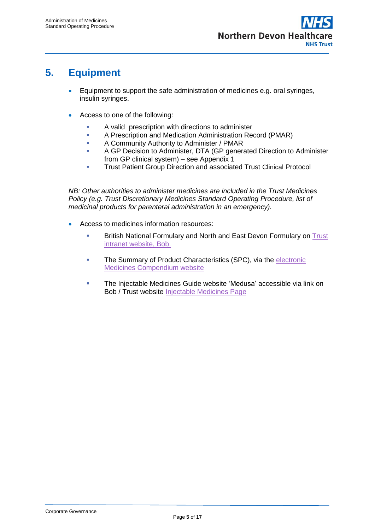## **5. Equipment**

- Equipment to support the safe administration of medicines e.g. oral syringes, insulin syringes.
- Access to one of the following:
	- **A** valid prescription with directions to administer
	- **A Prescription and Medication Administration Record (PMAR)**
	- **A Community Authority to Administer / PMAR**
	- **A GP Decision to Administer, DTA (GP generated Direction to Administer** from GP clinical system) – see Appendix 1
	- **Trust Patient Group Direction and associated Trust Clinical Protocol**

*NB: Other authorities to administer medicines are included in the Trust Medicines Policy (e.g. Trust Discretionary Medicines Standard Operating Procedure, list of medicinal products for parenteral administration in an emergency).* 

- Access to medicines information resources:
	- **British National Formulary and North and East Devon Formulary on Trust** [intranet website, Bob.](file://w2k8-dfs01/PUBLIC/PHARMACY/Policies%20&%20Procedures/SOP%20-%20Medicines%20Administration/and%20East%20and%20North%20Formulary%20at%20North%20&%20East%20Devon%20Formulary%20&%20Databases:%20Intranet)
	- The Summary of Product Characteristics (SPC), via the electronic [Medicines Compendium website](http://www.medicines.org.uk/emc/)
	- **The Injectable Medicines Guide website 'Medusa' accessible via link on** Bob / Trust website [Injectable Medicines Page](https://ndht.ndevon.swest.nhs.uk/pharmacy-2/injectable-medicines-2/)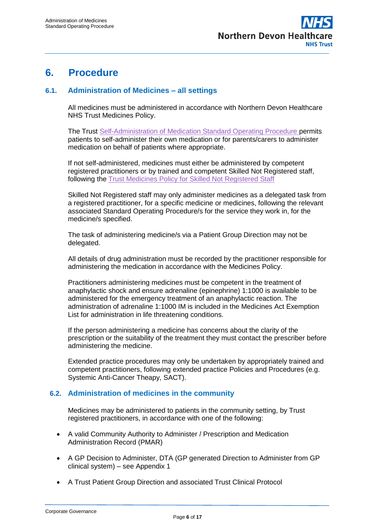

### **6. Procedure**

#### **6.1. Administration of Medicines – all settings**

All medicines must be administered in accordance with Northern Devon Healthcare NHS Trust Medicines Policy.

The [Trust Self-Administration of Medication Standard Operating Procedure](http://ndht.ndevon.swest.nhs.uk/self-administration-of-medication-standard-operating-procedure/) permits patients to self-administer their own medication or for parents/carers to administer medication on behalf of patients where appropriate.

If not self-administered, medicines must either be administered by competent registered practitioners or by trained and competent Skilled Not Registered staff, following the [Trust Medicines Policy for Skilled Not Registered Staff](https://www.northdevonhealth.nhs.uk/wp-content/uploads/2019/10/Medicines-Policy-for-Skilled-Not-Registered-Staff-FINAL-v3.pdf)

Skilled Not Registered staff may only administer medicines as a delegated task from a registered practitioner, for a specific medicine or medicines, following the relevant associated Standard Operating Procedure/s for the service they work in, for the medicine/s specified.

The task of administering medicine/s via a Patient Group Direction may not be delegated.

All details of drug administration must be recorded by the practitioner responsible for administering the medication in accordance with the Medicines Policy.

Practitioners administering medicines must be competent in the treatment of anaphylactic shock and ensure adrenaline (epinephrine) 1:1000 is available to be administered for the emergency treatment of an anaphylactic reaction. The administration of adrenaline 1:1000 IM is included in the Medicines Act Exemption List for administration in life threatening conditions.

If the person administering a medicine has concerns about the clarity of the prescription or the suitability of the treatment they must contact the prescriber before administering the medicine.

Extended practice procedures may only be undertaken by appropriately trained and competent practitioners, following extended practice Policies and Procedures (e.g. Systemic Anti-Cancer Theapy, SACT).

#### **6.2. Administration of medicines in the community**

Medicines may be administered to patients in the community setting, by Trust registered practitioners, in accordance with one of the following:

- A valid Community Authority to Administer / Prescription and Medication Administration Record (PMAR)
- A GP Decision to Administer, DTA (GP generated Direction to Administer from GP clinical system) – see Appendix 1
- A Trust Patient Group Direction and associated Trust Clinical Protocol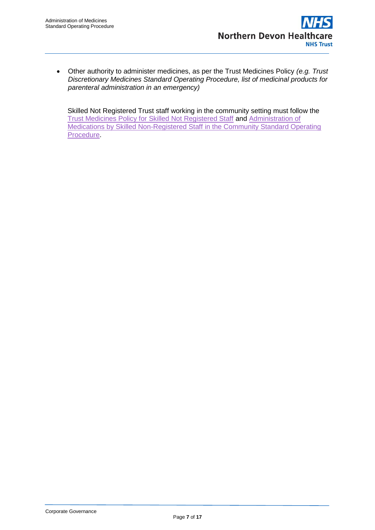Other authority to administer medicines, as per the Trust Medicines Policy *(e.g. Trust Discretionary Medicines Standard Operating Procedure, list of medicinal products for parenteral administration in an emergency)*

Skilled Not Registered Trust staff working in the community setting must follow the [Trust Medicines Policy for Skilled Not Registered Staff](https://www.northdevonhealth.nhs.uk/wp-content/uploads/2019/10/Medicines-Policy-for-Skilled-Not-Registered-Staff-FINAL-v3.pdf) and [Administration of](https://www.northdevonhealth.nhs.uk/wp-content/uploads/2019/10/ADMINI1.pdf)  [Medications by Skilled Non-Registered Staff in the Community Standard Operating](https://www.northdevonhealth.nhs.uk/wp-content/uploads/2019/10/ADMINI1.pdf)  **Procedure**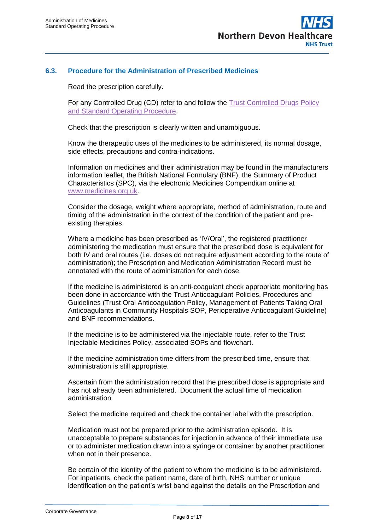

#### **6.3. Procedure for the Administration of Prescribed Medicines**

Read the prescription carefully.

For any Controlled Drug (CD) refer to and follow the [Trust Controlled Drugs Policy](http://ndht.ndevon.swest.nhs.uk/controlled-drugs-policy/)  [and Standard Operating Procedure](http://ndht.ndevon.swest.nhs.uk/controlled-drugs-policy/).

Check that the prescription is clearly written and unambiguous.

Know the therapeutic uses of the medicines to be administered, its normal dosage, side effects, precautions and contra-indications.

Information on medicines and their administration may be found in the manufacturers information leaflet, the British National Formulary (BNF), the Summary of Product Characteristics (SPC), via the electronic Medicines Compendium online at [www.medicines.org.uk.](http://www.medicines.org.uk/)

Consider the dosage, weight where appropriate, method of administration, route and timing of the administration in the context of the condition of the patient and preexisting therapies.

Where a medicine has been prescribed as 'IV/Oral', the registered practitioner administering the medication must ensure that the prescribed dose is equivalent for both IV and oral routes (i.e. doses do not require adjustment according to the route of administration); the Prescription and Medication Administration Record must be annotated with the route of administration for each dose.

If the medicine is administered is an anti-coagulant check appropriate monitoring has been done in accordance with the Trust Anticoagulant Policies, Procedures and Guidelines (Trust Oral Anticoagulation Policy, Management of Patients Taking Oral Anticoagulants in Community Hospitals SOP, Perioperative Anticoagulant Guideline) and BNF recommendations.

If the medicine is to be administered via the injectable route, refer to the Trust Injectable Medicines Policy, associated SOPs and flowchart.

If the medicine administration time differs from the prescribed time, ensure that administration is still appropriate.

Ascertain from the administration record that the prescribed dose is appropriate and has not already been administered. Document the actual time of medication administration.

Select the medicine required and check the container label with the prescription.

Medication must not be prepared prior to the administration episode. It is unacceptable to prepare substances for injection in advance of their immediate use or to administer medication drawn into a syringe or container by another practitioner when not in their presence.

Be certain of the identity of the patient to whom the medicine is to be administered. For inpatients, check the patient name, date of birth, NHS number or unique identification on the patient's wrist band against the details on the Prescription and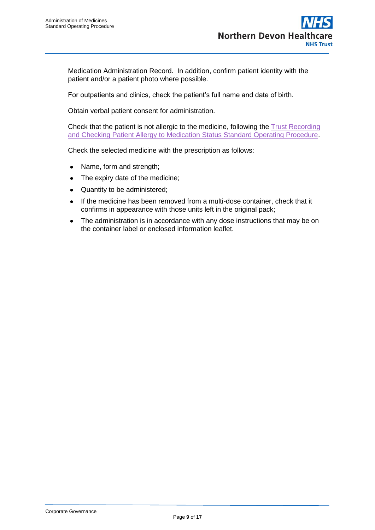Medication Administration Record. In addition, confirm patient identity with the patient and/or a patient photo where possible.

For outpatients and clinics, check the patient's full name and date of birth.

Obtain verbal patient consent for administration.

Check that the patient is not allergic to the medicine, following the [Trust Recording](https://ndht.ndevon.swest.nhs.uk/recording-checking-patient-allergy-to-medication-status-sop/)  [and Checking Patient Allergy to Medication Status Standard Operating Procedure.](https://ndht.ndevon.swest.nhs.uk/recording-checking-patient-allergy-to-medication-status-sop/)

Check the selected medicine with the prescription as follows:

- Name, form and strength;
- The expiry date of the medicine;
- Quantity to be administered;
- If the medicine has been removed from a multi-dose container, check that it confirms in appearance with those units left in the original pack;
- The administration is in accordance with any dose instructions that may be on the container label or enclosed information leaflet.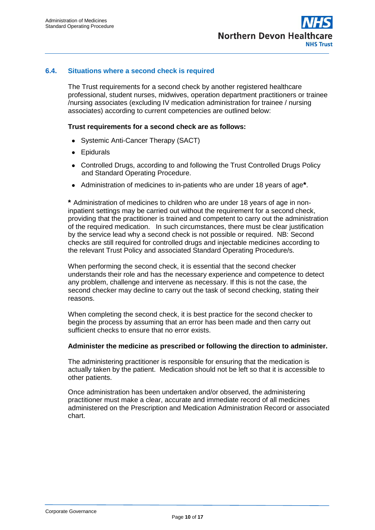

#### **6.4. Situations where a second check is required**

The Trust requirements for a second check by another registered healthcare professional, student nurses, midwives, operation department practitioners or trainee /nursing associates (excluding IV medication administration for trainee / nursing associates) according to current competencies are outlined below:

#### **Trust requirements for a second check are as follows:**

- Systemic Anti-Cancer Therapy (SACT)
- Epidurals
- Controlled Drugs, according to and following the Trust Controlled Drugs Policy and Standard Operating Procedure.
- Administration of medicines to in-patients who are under 18 years of age**\***.

**\*** Administration of medicines to children who are under 18 years of age in noninpatient settings may be carried out without the requirement for a second check, providing that the practitioner is trained and competent to carry out the administration of the required medication. In such circumstances, there must be clear justification by the service lead why a second check is not possible or required. NB: Second checks are still required for controlled drugs and injectable medicines according to the relevant Trust Policy and associated Standard Operating Procedure/s.

When performing the second check, it is essential that the second checker understands their role and has the necessary experience and competence to detect any problem, challenge and intervene as necessary. If this is not the case, the second checker may decline to carry out the task of second checking, stating their reasons.

When completing the second check, it is best practice for the second checker to begin the process by assuming that an error has been made and then carry out sufficient checks to ensure that no error exists.

#### **Administer the medicine as prescribed or following the direction to administer.**

The administering practitioner is responsible for ensuring that the medication is actually taken by the patient. Medication should not be left so that it is accessible to other patients.

Once administration has been undertaken and/or observed, the administering practitioner must make a clear, accurate and immediate record of all medicines administered on the Prescription and Medication Administration Record or associated chart.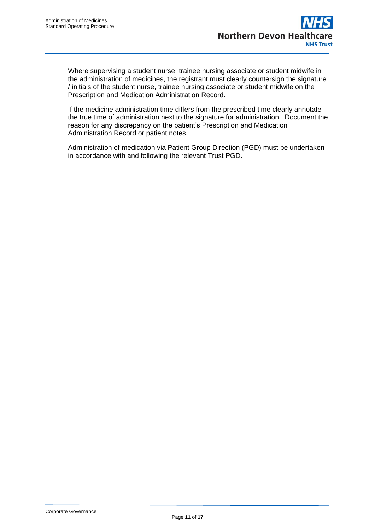Where supervising a student nurse, trainee nursing associate or student midwife in the administration of medicines, the registrant must clearly countersign the signature / initials of the student nurse, trainee nursing associate or student midwife on the Prescription and Medication Administration Record.

If the medicine administration time differs from the prescribed time clearly annotate the true time of administration next to the signature for administration. Document the reason for any discrepancy on the patient's Prescription and Medication Administration Record or patient notes.

Administration of medication via Patient Group Direction (PGD) must be undertaken in accordance with and following the relevant Trust PGD.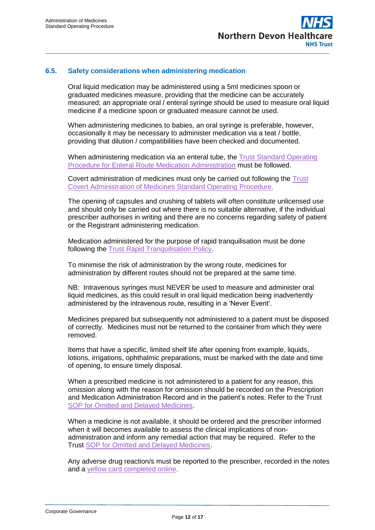

#### **6.5. Safety considerations when administering medication**

Oral liquid medication may be administered using a 5ml medicines spoon or graduated medicines measure, providing that the medicine can be accurately measured; an appropriate oral / enteral syringe should be used to measure oral liquid medicine if a medicine spoon or graduated measure cannot be used.

When administering medicines to babies, an oral syringe is preferable, however, occasionally it may be necessary to administer medication via a teat / bottle, providing that dilution / compatibilities have been checked and documented.

When administering medication via an enteral tube, the [Trust Standard Operating](http://ndht.ndevon.swest.nhs.uk/wp-content/uploads/2014/10/Enteral-Route-Medication-Administration-SOP-V1.0-28Oct14.pdf)  [Procedure for Enteral Route Medication Administration](http://ndht.ndevon.swest.nhs.uk/wp-content/uploads/2014/10/Enteral-Route-Medication-Administration-SOP-V1.0-28Oct14.pdf) must be followed.

Covert administration of medicines must only be carried out following the [Trust](http://ndht.ndevon.swest.nhs.uk/covert-administration-of-medicines-standard-operating-procedure/)  [Covert Administration of Medicines Standard Operating Procedure.](http://ndht.ndevon.swest.nhs.uk/covert-administration-of-medicines-standard-operating-procedure/)

The opening of capsules and crushing of tablets will often constitute unlicensed use and should only be carried out where there is no suitable alternative, if the individual prescriber authorises in writing and there are no concerns regarding safety of patient or the Registrant administering medication.

Medication administered for the purpose of rapid tranquilisation must be done following the [Trust Rapid Tranquilisation Policy.](https://www.northdevonhealth.nhs.uk/wp-content/uploads/2019/08/Rapid-Tranquilisation-Policy-2-0-May-2019.pdf)

To minimise the risk of administration by the wrong route, medicines for administration by different routes should not be prepared at the same time.

NB: Intravenous syringes must NEVER be used to measure and administer oral liquid medicines, as this could result in oral liquid medication being inadvertently administered by the intravenous route, resulting in a 'Never Event'.

Medicines prepared but subsequently not administered to a patient must be disposed of correctly. Medicines must not be returned to the container from which they were removed.

Items that have a specific, limited shelf life after opening from example, liquids, lotions, irrigations, ophthalmic preparations, must be marked with the date and time of opening, to ensure timely disposal.

When a prescribed medicine is not administered to a patient for any reason, this omission along with the reason for omission should be recorded on the Prescription and Medication Administration Record and in the patient's notes. Refer to the Trust [SOP for Omitted and Delayed Medicines.](http://ndht.ndevon.swest.nhs.uk/wp-content/uploads/2013/07/Omitted-Delayed-Medicines-SOP-v3-0-Jan-16.pdf)

When a medicine is not available, it should be ordered and the prescriber informed when it will becomes available to assess the clinical implications of nonadministration and inform any remedial action that may be required. Refer to the Trust [SOP for Omitted and Delayed Medicines.](http://ndht.ndevon.swest.nhs.uk/wp-content/uploads/2013/07/Omitted-Delayed-Medicines-SOP-v3-0-Jan-16.pdf)

Any adverse drug reaction/s must be reported to the prescriber, recorded in the notes and a [yellow card completed online.](https://yellowcard.mhra.gov.uk/)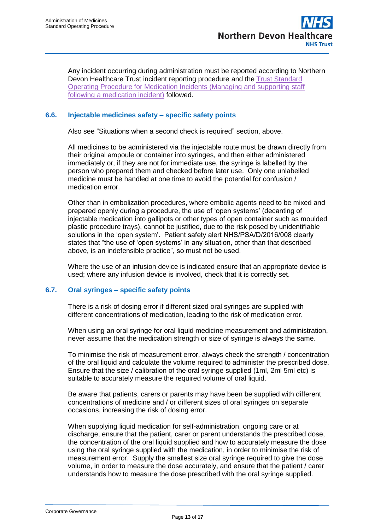Any incident occurring during administration must be reported according to Northern Devon Healthcare Trust incident reporting procedure and the [Trust Standard](http://www.northdevonhealth.nhs.uk/2016/07/medication-incidents-standard-operating-procedure-managing-and-supporting-staff-following-a-medication-incident/)  [Operating Procedure for Medication Incidents \(Managing and supporting staff](http://www.northdevonhealth.nhs.uk/2016/07/medication-incidents-standard-operating-procedure-managing-and-supporting-staff-following-a-medication-incident/)  [following a medication incident\)](http://www.northdevonhealth.nhs.uk/2016/07/medication-incidents-standard-operating-procedure-managing-and-supporting-staff-following-a-medication-incident/) followed.

#### **6.6. Injectable medicines safety – specific safety points**

Also see "Situations when a second check is required" section, above.

All medicines to be administered via the injectable route must be drawn directly from their original ampoule or container into syringes, and then either administered immediately or, if they are not for immediate use, the syringe is labelled by the person who prepared them and checked before later use. Only one unlabelled medicine must be handled at one time to avoid the potential for confusion / medication error.

Other than in embolization procedures, where embolic agents need to be mixed and prepared openly during a procedure, the use of 'open systems' (decanting of injectable medication into gallipots or other types of open container such as moulded plastic procedure trays), cannot be justified, due to the risk posed by unidentifiable solutions in the 'open system'. Patient safety alert NHS/PSA/D/2016/008 clearly states that "the use of 'open systems' in any situation, other than that described above, is an indefensible practice", so must not be used.

Where the use of an infusion device is indicated ensure that an appropriate device is used; where any infusion device is involved, check that it is correctly set.

#### **6.7. Oral syringes – specific safety points**

There is a risk of dosing error if different sized oral syringes are supplied with different concentrations of medication, leading to the risk of medication error.

When using an oral syringe for oral liquid medicine measurement and administration, never assume that the medication strength or size of syringe is always the same.

To minimise the risk of measurement error, always check the strength / concentration of the oral liquid and calculate the volume required to administer the prescribed dose. Ensure that the size / calibration of the oral syringe supplied (1ml, 2ml 5ml etc) is suitable to accurately measure the required volume of oral liquid.

Be aware that patients, carers or parents may have been be supplied with different concentrations of medicine and / or different sizes of oral syringes on separate occasions, increasing the risk of dosing error.

When supplying liquid medication for self-administration, ongoing care or at discharge, ensure that the patient, carer or parent understands the prescribed dose, the concentration of the oral liquid supplied and how to accurately measure the dose using the oral syringe supplied with the medication, in order to minimise the risk of measurement error. Supply the smallest size oral syringe required to give the dose volume, in order to measure the dose accurately, and ensure that the patient / carer understands how to measure the dose prescribed with the oral syringe supplied.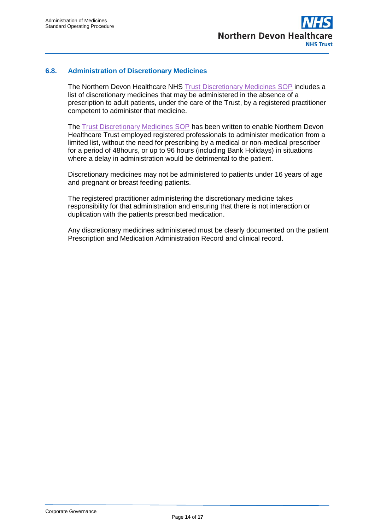

#### **6.8. Administration of Discretionary Medicines**

The Northern Devon Healthcare NHS [Trust Discretionary Medicines SOP](http://ndht.ndevon.swest.nhs.uk/discretionary-medicines-standard-operating-procedure/) includes a list of discretionary medicines that may be administered in the absence of a prescription to adult patients, under the care of the Trust, by a registered practitioner competent to administer that medicine.

The [Trust Discretionary Medicines SOP](http://ndht.ndevon.swest.nhs.uk/discretionary-medicines-standard-operating-procedure/) has been written to enable Northern Devon Healthcare Trust employed registered professionals to administer medication from a limited list, without the need for prescribing by a medical or non-medical prescriber for a period of 48hours, or up to 96 hours (including Bank Holidays) in situations where a delay in administration would be detrimental to the patient.

Discretionary medicines may not be administered to patients under 16 years of age and pregnant or breast feeding patients.

The registered practitioner administering the discretionary medicine takes responsibility for that administration and ensuring that there is not interaction or duplication with the patients prescribed medication.

Any discretionary medicines administered must be clearly documented on the patient Prescription and Medication Administration Record and clinical record.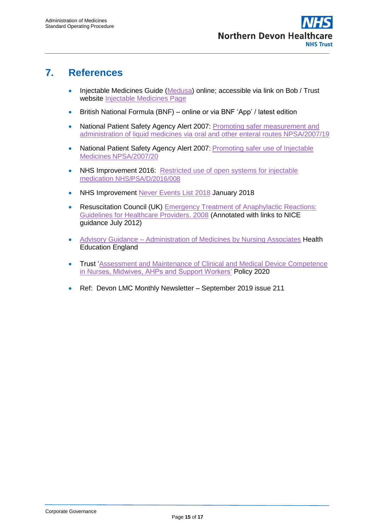## **7. References**

- Injectable Medicines Guide [\(Medusa\)](http://www.injguide.nhs.uk/) online; accessible via link on Bob / Trust website [Injectable Medicines Page](https://ndht.ndevon.swest.nhs.uk/pharmacy-2/injectable-medicines-2/)
- British National Formula (BNF) online or via BNF 'App' / latest edition
- National Patient Safety Agency Alert 2007: Promoting safer measurement and [administration of liquid medicines via oral and other enteral routes NPSA/2007/19](http://www.nrls.npsa.nhs.uk/resources/?entryid45=59808)
- National Patient Safety Agency Alert 2007: Promoting safer use of Injectable Medicines [NPSA/2007/20](http://www.nrls.npsa.nhs.uk/resources/?entryid45=59812)
- NHS Improvement 2016: Restricted use of open systems for injectable medication [NHS/PSA/D/2016/008](https://improvement.nhs.uk/uploads/documents/NHSI_Patient_Safety_Alert_-_Restricted_use_of_open_systems.pdf)
- NHS Improvement [Never Events List 2018](https://www.england.nhs.uk/wp-content/uploads/2020/11/Never-Events-list-2018-FINAL-v7.pdf) January 2018
- Resuscitation Council (UK) Emergency Treatment of Anaphylactic Reactions: [Guidelines for Healthcare Providers. 2008](https://www.resus.org.uk/anaphylaxis/emergency-treatment-of-anaphylactic-reactions/) (Annotated with links to NICE guidance July 2012)
- Advisory Guidance [Administration of Medicines by Nursing Associates](https://www.hee.nhs.uk/sites/default/files/documents/Advisory%20guidance%20-%20administration%20of%20medicines%20by%20nursing%20associates.pdf) Health Education England
- **Trust 'Assessment and Maintenance of Clinical and Medical Device Competence** [in Nurses, Midwives, AHPs and Support Workers'](https://ndht.ndevon.swest.nhs.uk/assessment-and-maintenance-of-clinical-competence-in-nurses-midwives-and-support-workers-policy/) Policy 2020
- Ref: Devon LMC Monthly Newsletter September 2019 issue 211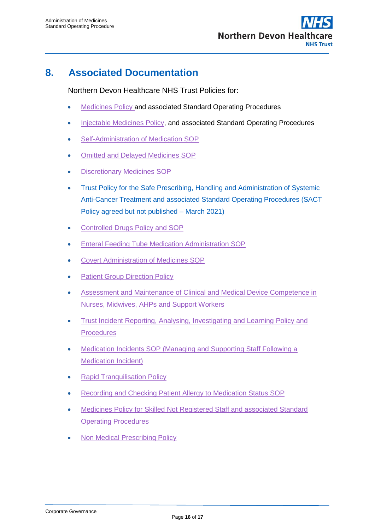

## **8. Associated Documentation**

Northern Devon Healthcare NHS Trust Policies for:

- [Medicines Policy](http://www.northdevonhealth.nhs.uk/2012/04/medicines-policy/) and associated Standard Operating Procedures
- [Injectable Medicines Policy,](http://ndht.ndevon.swest.nhs.uk/injectable-medicines-policy-prescribing-preparing-and-administering-injectable-medicines-policy/) and associated Standard Operating Procedures
- [Self-Administration of Medication SOP](http://ndht.ndevon.swest.nhs.uk/self-administration-of-medication-standard-operating-procedure/)
- [Omitted and Delayed Medicines SOP](http://ndht.ndevon.swest.nhs.uk/omitted-and-delayed-medicines-standard-operating-procedure/)
- [Discretionary Medicines SOP](http://ndht.ndevon.swest.nhs.uk/discretionary-medicines-standard-operating-procedure/)
- Trust Policy for the Safe Prescribing, Handling and Administration of Systemic Anti-Cancer Treatment and associated Standard Operating Procedures (SACT Policy agreed but not published – March 2021)
- [Controlled Drugs Policy and SOP](http://ndht.ndevon.swest.nhs.uk/controlled-drugs-policy/)
- **[Enteral Feeding Tube Medication Administration SOP](http://ndht.ndevon.swest.nhs.uk/enteral-route-medication-administration-standard-operating-procedure/)**
- [Covert Administration of Medicines SOP](http://ndht.ndevon.swest.nhs.uk/covert-administration-of-medicines-standard-operating-procedure/)
- [Patient Group Direction Policy](http://www.northdevonhealth.nhs.uk/2013/11/patient-group-direction-policy/)
- [Assessment and Maintenance of Clinical and Medical Device Competence in](https://ndht.ndevon.swest.nhs.uk/assessment-and-maintenance-of-clinical-competence-in-nurses-midwives-and-support-workers-policy/)  [Nurses, Midwives, AHPs](https://ndht.ndevon.swest.nhs.uk/assessment-and-maintenance-of-clinical-competence-in-nurses-midwives-and-support-workers-policy/) and Support Workers
- Trust Incident Reporting, Analysing, Investigating and Learning Policy and **[Procedures](https://ndht.ndevon.swest.nhs.uk/incident-reporting-and-management-policy/)**
- [Medication Incidents SOP \(Managing and Supporting Staff Following a](https://ndht.ndevon.swest.nhs.uk/medication-errors-standard-operating-procedure-managing-and-supporting-staff-following-a-medication-error/)  **[Medication Incident\)](https://ndht.ndevon.swest.nhs.uk/medication-errors-standard-operating-procedure-managing-and-supporting-staff-following-a-medication-error/)**
- [Rapid Tranquilisation Policy](https://www.northdevonhealth.nhs.uk/wp-content/uploads/2019/08/Rapid-Tranquilisation-Policy-2-0-May-2019.pdf)
- [Recording and Checking Patient Allergy to Medication Status SOP](https://ndht.ndevon.swest.nhs.uk/recording-checking-patient-allergy-to-medication-status-sop/)
- [Medicines Policy for Skilled Not Registered Staff and associated Standard](https://www.northdevonhealth.nhs.uk/2019/10/medicines-policy-for-skilled-not-registered-staff/)  [Operating Procedures](https://www.northdevonhealth.nhs.uk/2019/10/medicines-policy-for-skilled-not-registered-staff/)
- [Non Medical Prescribing Policy](https://ndht.ndevon.swest.nhs.uk/non-medical-prescribing-policy/)